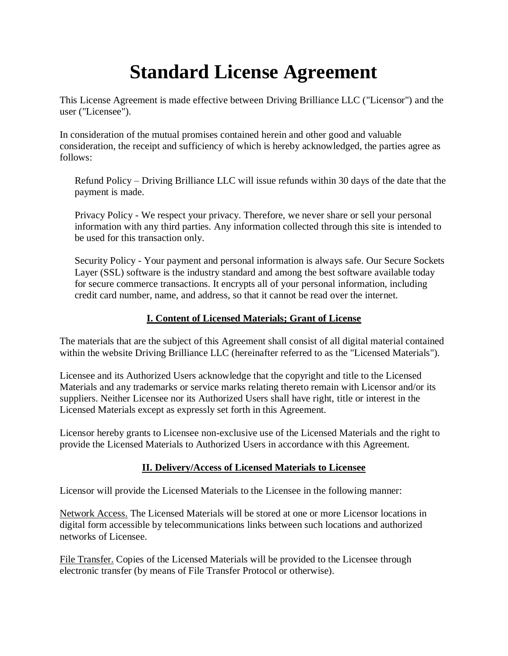# **Standard License Agreement**

This License Agreement is made effective between Driving Brilliance LLC ("Licensor") and the user ("Licensee").

In consideration of the mutual promises contained herein and other good and valuable consideration, the receipt and sufficiency of which is hereby acknowledged, the parties agree as follows:

Refund Policy – Driving Brilliance LLC will issue refunds within 30 days of the date that the payment is made.

Privacy Policy - We respect your privacy. Therefore, we never share or sell your personal information with any third parties. Any information collected through this site is intended to be used for this transaction only.

Security Policy - Your payment and personal information is always safe. Our Secure Sockets Layer (SSL) software is the industry standard and among the best software available today for secure commerce transactions. It encrypts all of your personal information, including credit card number, name, and address, so that it cannot be read over the internet.

# **I. Content of Licensed Materials; Grant of License**

The materials that are the subject of this Agreement shall consist of all digital material contained within the website Driving Brilliance LLC (hereinafter referred to as the "Licensed Materials").

Licensee and its Authorized Users acknowledge that the copyright and title to the Licensed Materials and any trademarks or service marks relating thereto remain with Licensor and/or its suppliers. Neither Licensee nor its Authorized Users shall have right, title or interest in the Licensed Materials except as expressly set forth in this Agreement.

Licensor hereby grants to Licensee non-exclusive use of the Licensed Materials and the right to provide the Licensed Materials to Authorized Users in accordance with this Agreement.

# **II. Delivery/Access of Licensed Materials to Licensee**

Licensor will provide the Licensed Materials to the Licensee in the following manner:

Network Access. The Licensed Materials will be stored at one or more Licensor locations in digital form accessible by telecommunications links between such locations and authorized networks of Licensee.

File Transfer. Copies of the Licensed Materials will be provided to the Licensee through electronic transfer (by means of File Transfer Protocol or otherwise).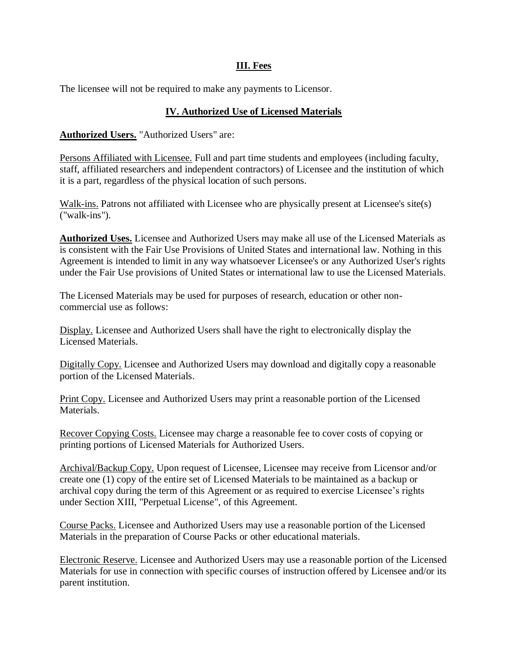#### **III. Fees**

The licensee will not be required to make any payments to Licensor.

## **IV. Authorized Use of Licensed Materials**

#### **Authorized Users.** "Authorized Users" are:

Persons Affiliated with Licensee. Full and part time students and employees (including faculty, staff, affiliated researchers and independent contractors) of Licensee and the institution of which it is a part, regardless of the physical location of such persons.

Walk-ins. Patrons not affiliated with Licensee who are physically present at Licensee's site(s) ("walk-ins").

**Authorized Uses.** Licensee and Authorized Users may make all use of the Licensed Materials as is consistent with the Fair Use Provisions of United States and international law. Nothing in this Agreement is intended to limit in any way whatsoever Licensee's or any Authorized User's rights under the Fair Use provisions of United States or international law to use the Licensed Materials.

The Licensed Materials may be used for purposes of research, education or other noncommercial use as follows:

Display. Licensee and Authorized Users shall have the right to electronically display the Licensed Materials.

Digitally Copy. Licensee and Authorized Users may download and digitally copy a reasonable portion of the Licensed Materials.

Print Copy. Licensee and Authorized Users may print a reasonable portion of the Licensed Materials.

Recover Copying Costs. Licensee may charge a reasonable fee to cover costs of copying or printing portions of Licensed Materials for Authorized Users.

Archival/Backup Copy. Upon request of Licensee, Licensee may receive from Licensor and/or create one (1) copy of the entire set of Licensed Materials to be maintained as a backup or archival copy during the term of this Agreement or as required to exercise Licensee's rights under Section XIII, "Perpetual License", of this Agreement.

Course Packs. Licensee and Authorized Users may use a reasonable portion of the Licensed Materials in the preparation of Course Packs or other educational materials.

Electronic Reserve. Licensee and Authorized Users may use a reasonable portion of the Licensed Materials for use in connection with specific courses of instruction offered by Licensee and/or its parent institution.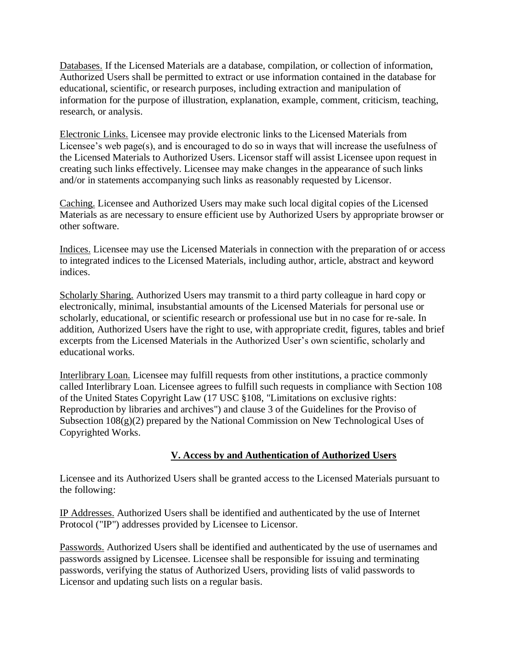Databases. If the Licensed Materials are a database, compilation, or collection of information, Authorized Users shall be permitted to extract or use information contained in the database for educational, scientific, or research purposes, including extraction and manipulation of information for the purpose of illustration, explanation, example, comment, criticism, teaching, research, or analysis.

Electronic Links. Licensee may provide electronic links to the Licensed Materials from Licensee's web page(s), and is encouraged to do so in ways that will increase the usefulness of the Licensed Materials to Authorized Users. Licensor staff will assist Licensee upon request in creating such links effectively. Licensee may make changes in the appearance of such links and/or in statements accompanying such links as reasonably requested by Licensor.

Caching. Licensee and Authorized Users may make such local digital copies of the Licensed Materials as are necessary to ensure efficient use by Authorized Users by appropriate browser or other software.

Indices. Licensee may use the Licensed Materials in connection with the preparation of or access to integrated indices to the Licensed Materials, including author, article, abstract and keyword indices.

Scholarly Sharing. Authorized Users may transmit to a third party colleague in hard copy or electronically, minimal, insubstantial amounts of the Licensed Materials for personal use or scholarly, educational, or scientific research or professional use but in no case for re-sale. In addition, Authorized Users have the right to use, with appropriate credit, figures, tables and brief excerpts from the Licensed Materials in the Authorized User's own scientific, scholarly and educational works.

Interlibrary Loan. Licensee may fulfill requests from other institutions, a practice commonly called Interlibrary Loan. Licensee agrees to fulfill such requests in compliance with Section 108 of the United States Copyright Law (17 USC §108, "Limitations on exclusive rights: Reproduction by libraries and archives") and clause 3 of the Guidelines for the Proviso of Subsection  $108(g)(2)$  prepared by the National Commission on New Technological Uses of Copyrighted Works.

# **V. Access by and Authentication of Authorized Users**

Licensee and its Authorized Users shall be granted access to the Licensed Materials pursuant to the following:

IP Addresses. Authorized Users shall be identified and authenticated by the use of Internet Protocol ("IP") addresses provided by Licensee to Licensor.

Passwords. Authorized Users shall be identified and authenticated by the use of usernames and passwords assigned by Licensee. Licensee shall be responsible for issuing and terminating passwords, verifying the status of Authorized Users, providing lists of valid passwords to Licensor and updating such lists on a regular basis.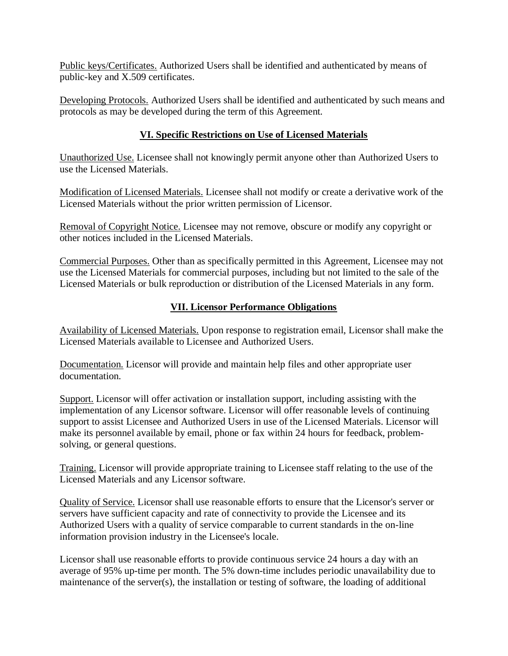Public keys/Certificates. Authorized Users shall be identified and authenticated by means of public-key and X.509 certificates.

Developing Protocols. Authorized Users shall be identified and authenticated by such means and protocols as may be developed during the term of this Agreement.

## **VI. Specific Restrictions on Use of Licensed Materials**

Unauthorized Use. Licensee shall not knowingly permit anyone other than Authorized Users to use the Licensed Materials.

Modification of Licensed Materials. Licensee shall not modify or create a derivative work of the Licensed Materials without the prior written permission of Licensor.

Removal of Copyright Notice. Licensee may not remove, obscure or modify any copyright or other notices included in the Licensed Materials.

Commercial Purposes. Other than as specifically permitted in this Agreement, Licensee may not use the Licensed Materials for commercial purposes, including but not limited to the sale of the Licensed Materials or bulk reproduction or distribution of the Licensed Materials in any form.

## **VII. Licensor Performance Obligations**

Availability of Licensed Materials. Upon response to registration email, Licensor shall make the Licensed Materials available to Licensee and Authorized Users.

Documentation. Licensor will provide and maintain help files and other appropriate user documentation.

Support. Licensor will offer activation or installation support, including assisting with the implementation of any Licensor software. Licensor will offer reasonable levels of continuing support to assist Licensee and Authorized Users in use of the Licensed Materials. Licensor will make its personnel available by email, phone or fax within 24 hours for feedback, problemsolving, or general questions.

Training. Licensor will provide appropriate training to Licensee staff relating to the use of the Licensed Materials and any Licensor software.

Quality of Service. Licensor shall use reasonable efforts to ensure that the Licensor's server or servers have sufficient capacity and rate of connectivity to provide the Licensee and its Authorized Users with a quality of service comparable to current standards in the on-line information provision industry in the Licensee's locale.

Licensor shall use reasonable efforts to provide continuous service 24 hours a day with an average of 95% up-time per month. The 5% down-time includes periodic unavailability due to maintenance of the server(s), the installation or testing of software, the loading of additional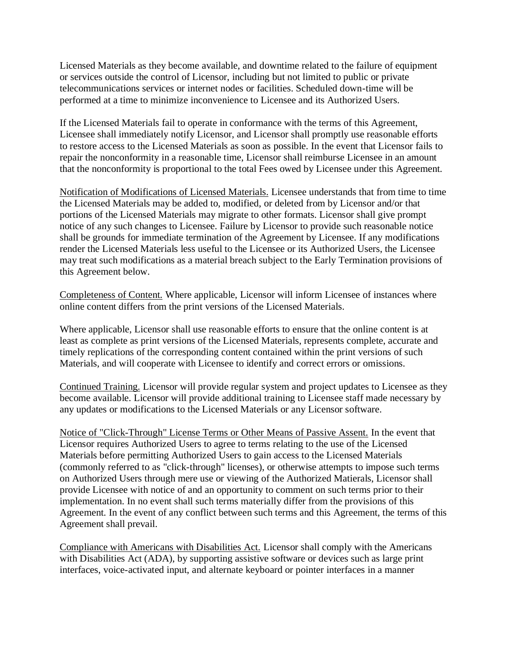Licensed Materials as they become available, and downtime related to the failure of equipment or services outside the control of Licensor, including but not limited to public or private telecommunications services or internet nodes or facilities. Scheduled down-time will be performed at a time to minimize inconvenience to Licensee and its Authorized Users.

If the Licensed Materials fail to operate in conformance with the terms of this Agreement, Licensee shall immediately notify Licensor, and Licensor shall promptly use reasonable efforts to restore access to the Licensed Materials as soon as possible. In the event that Licensor fails to repair the nonconformity in a reasonable time, Licensor shall reimburse Licensee in an amount that the nonconformity is proportional to the total Fees owed by Licensee under this Agreement.

Notification of Modifications of Licensed Materials. Licensee understands that from time to time the Licensed Materials may be added to, modified, or deleted from by Licensor and/or that portions of the Licensed Materials may migrate to other formats. Licensor shall give prompt notice of any such changes to Licensee. Failure by Licensor to provide such reasonable notice shall be grounds for immediate termination of the Agreement by Licensee. If any modifications render the Licensed Materials less useful to the Licensee or its Authorized Users, the Licensee may treat such modifications as a material breach subject to the Early Termination provisions of this Agreement below.

Completeness of Content. Where applicable, Licensor will inform Licensee of instances where online content differs from the print versions of the Licensed Materials.

Where applicable, Licensor shall use reasonable efforts to ensure that the online content is at least as complete as print versions of the Licensed Materials, represents complete, accurate and timely replications of the corresponding content contained within the print versions of such Materials, and will cooperate with Licensee to identify and correct errors or omissions.

Continued Training. Licensor will provide regular system and project updates to Licensee as they become available. Licensor will provide additional training to Licensee staff made necessary by any updates or modifications to the Licensed Materials or any Licensor software.

Notice of "Click-Through" License Terms or Other Means of Passive Assent. In the event that Licensor requires Authorized Users to agree to terms relating to the use of the Licensed Materials before permitting Authorized Users to gain access to the Licensed Materials (commonly referred to as "click-through" licenses), or otherwise attempts to impose such terms on Authorized Users through mere use or viewing of the Authorized Matierals, Licensor shall provide Licensee with notice of and an opportunity to comment on such terms prior to their implementation. In no event shall such terms materially differ from the provisions of this Agreement. In the event of any conflict between such terms and this Agreement, the terms of this Agreement shall prevail.

Compliance with Americans with Disabilities Act. Licensor shall comply with the Americans with Disabilities Act (ADA), by supporting assistive software or devices such as large print interfaces, voice-activated input, and alternate keyboard or pointer interfaces in a manner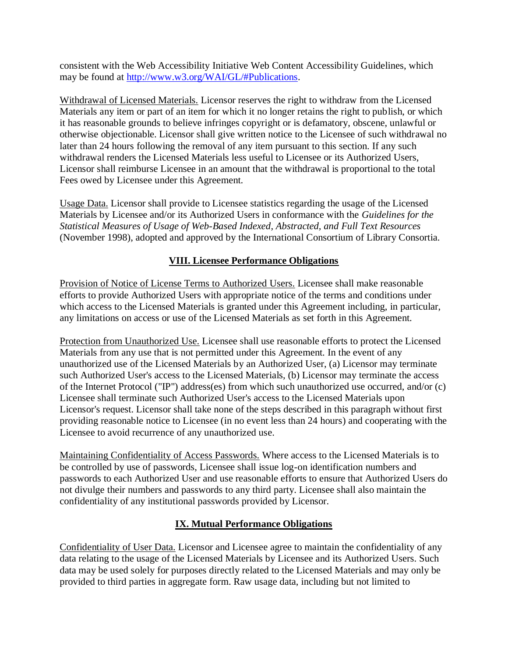consistent with the Web Accessibility Initiative Web Content Accessibility Guidelines, which may be found at http://www.w3.org/WAI/GL/#Publications.

Withdrawal of Licensed Materials*.* Licensor reserves the right to withdraw from the Licensed Materials any item or part of an item for which it no longer retains the right to publish, or which it has reasonable grounds to believe infringes copyright or is defamatory, obscene, unlawful or otherwise objectionable. Licensor shall give written notice to the Licensee of such withdrawal no later than 24 hours following the removal of any item pursuant to this section. If any such withdrawal renders the Licensed Materials less useful to Licensee or its Authorized Users, Licensor shall reimburse Licensee in an amount that the withdrawal is proportional to the total Fees owed by Licensee under this Agreement.

Usage Data. Licensor shall provide to Licensee statistics regarding the usage of the Licensed Materials by Licensee and/or its Authorized Users in conformance with the *Guidelines for the Statistical Measures of Usage of Web-Based Indexed, Abstracted, and Full Text Resources*  (November 1998), adopted and approved by the International Consortium of Library Consortia.

## **VIII. Licensee Performance Obligations**

Provision of Notice of License Terms to Authorized Users. Licensee shall make reasonable efforts to provide Authorized Users with appropriate notice of the terms and conditions under which access to the Licensed Materials is granted under this Agreement including, in particular, any limitations on access or use of the Licensed Materials as set forth in this Agreement.

Protection from Unauthorized Use. Licensee shall use reasonable efforts to protect the Licensed Materials from any use that is not permitted under this Agreement. In the event of any unauthorized use of the Licensed Materials by an Authorized User, (a) Licensor may terminate such Authorized User's access to the Licensed Materials, (b) Licensor may terminate the access of the Internet Protocol ("IP") address(es) from which such unauthorized use occurred, and/or (c) Licensee shall terminate such Authorized User's access to the Licensed Materials upon Licensor's request. Licensor shall take none of the steps described in this paragraph without first providing reasonable notice to Licensee (in no event less than 24 hours) and cooperating with the Licensee to avoid recurrence of any unauthorized use.

Maintaining Confidentiality of Access Passwords. Where access to the Licensed Materials is to be controlled by use of passwords, Licensee shall issue log-on identification numbers and passwords to each Authorized User and use reasonable efforts to ensure that Authorized Users do not divulge their numbers and passwords to any third party. Licensee shall also maintain the confidentiality of any institutional passwords provided by Licensor.

#### **IX. Mutual Performance Obligations**

Confidentiality of User Data. Licensor and Licensee agree to maintain the confidentiality of any data relating to the usage of the Licensed Materials by Licensee and its Authorized Users. Such data may be used solely for purposes directly related to the Licensed Materials and may only be provided to third parties in aggregate form. Raw usage data, including but not limited to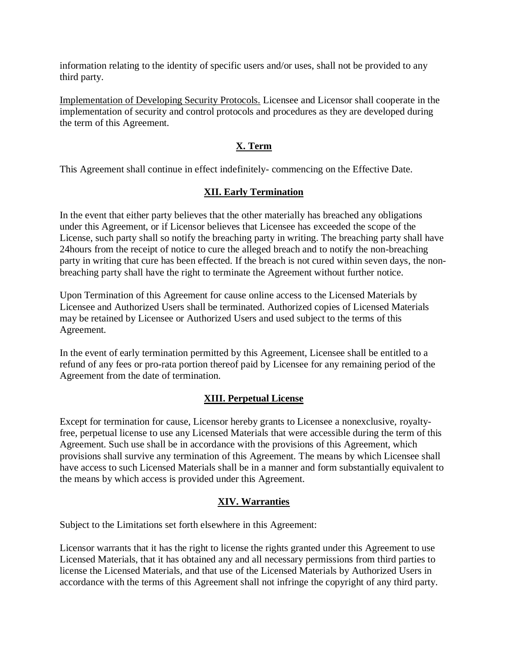information relating to the identity of specific users and/or uses, shall not be provided to any third party.

Implementation of Developing Security Protocols. Licensee and Licensor shall cooperate in the implementation of security and control protocols and procedures as they are developed during the term of this Agreement.

#### **X. Term**

This Agreement shall continue in effect indefinitely*-* commencing on the Effective Date.

## **XII. Early Termination**

In the event that either party believes that the other materially has breached any obligations under this Agreement, or if Licensor believes that Licensee has exceeded the scope of the License, such party shall so notify the breaching party in writing. The breaching party shall have 24hours from the receipt of notice to cure the alleged breach and to notify the non-breaching party in writing that cure has been effected. If the breach is not cured within seven days, the nonbreaching party shall have the right to terminate the Agreement without further notice.

Upon Termination of this Agreement for cause online access to the Licensed Materials by Licensee and Authorized Users shall be terminated. Authorized copies of Licensed Materials may be retained by Licensee or Authorized Users and used subject to the terms of this Agreement.

In the event of early termination permitted by this Agreement, Licensee shall be entitled to a refund of any fees or pro-rata portion thereof paid by Licensee for any remaining period of the Agreement from the date of termination.

#### **XIII. Perpetual License**

Except for termination for cause, Licensor hereby grants to Licensee a nonexclusive, royaltyfree, perpetual license to use any Licensed Materials that were accessible during the term of this Agreement. Such use shall be in accordance with the provisions of this Agreement, which provisions shall survive any termination of this Agreement. The means by which Licensee shall have access to such Licensed Materials shall be in a manner and form substantially equivalent to the means by which access is provided under this Agreement.

#### **XIV. Warranties**

Subject to the Limitations set forth elsewhere in this Agreement:

Licensor warrants that it has the right to license the rights granted under this Agreement to use Licensed Materials, that it has obtained any and all necessary permissions from third parties to license the Licensed Materials, and that use of the Licensed Materials by Authorized Users in accordance with the terms of this Agreement shall not infringe the copyright of any third party.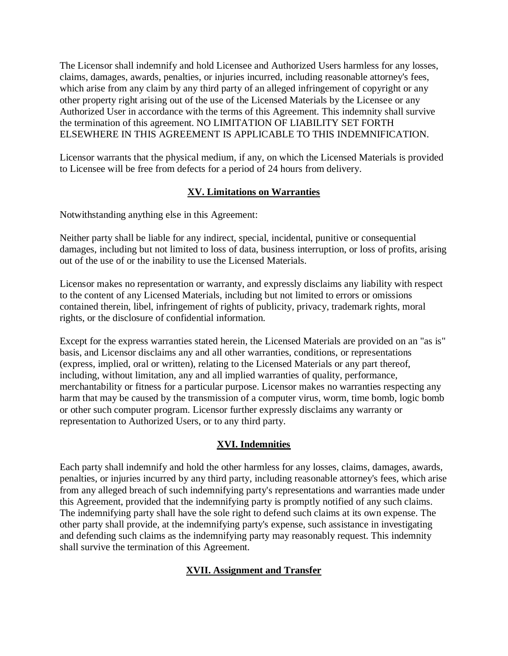The Licensor shall indemnify and hold Licensee and Authorized Users harmless for any losses, claims, damages, awards, penalties, or injuries incurred, including reasonable attorney's fees, which arise from any claim by any third party of an alleged infringement of copyright or any other property right arising out of the use of the Licensed Materials by the Licensee or any Authorized User in accordance with the terms of this Agreement. This indemnity shall survive the termination of this agreement. NO LIMITATION OF LIABILITY SET FORTH ELSEWHERE IN THIS AGREEMENT IS APPLICABLE TO THIS INDEMNIFICATION.

Licensor warrants that the physical medium, if any, on which the Licensed Materials is provided to Licensee will be free from defects for a period of 24 hours from delivery.

## **XV. Limitations on Warranties**

Notwithstanding anything else in this Agreement:

Neither party shall be liable for any indirect, special, incidental, punitive or consequential damages, including but not limited to loss of data, business interruption, or loss of profits, arising out of the use of or the inability to use the Licensed Materials.

Licensor makes no representation or warranty, and expressly disclaims any liability with respect to the content of any Licensed Materials, including but not limited to errors or omissions contained therein, libel, infringement of rights of publicity, privacy, trademark rights, moral rights, or the disclosure of confidential information.

Except for the express warranties stated herein, the Licensed Materials are provided on an "as is" basis, and Licensor disclaims any and all other warranties, conditions, or representations (express, implied, oral or written), relating to the Licensed Materials or any part thereof, including, without limitation, any and all implied warranties of quality, performance, merchantability or fitness for a particular purpose. Licensor makes no warranties respecting any harm that may be caused by the transmission of a computer virus, worm, time bomb, logic bomb or other such computer program. Licensor further expressly disclaims any warranty or representation to Authorized Users, or to any third party.

# **XVI. Indemnities**

Each party shall indemnify and hold the other harmless for any losses, claims, damages, awards, penalties, or injuries incurred by any third party, including reasonable attorney's fees, which arise from any alleged breach of such indemnifying party's representations and warranties made under this Agreement, provided that the indemnifying party is promptly notified of any such claims. The indemnifying party shall have the sole right to defend such claims at its own expense. The other party shall provide, at the indemnifying party's expense, such assistance in investigating and defending such claims as the indemnifying party may reasonably request. This indemnity shall survive the termination of this Agreement.

# **XVII. Assignment and Transfer**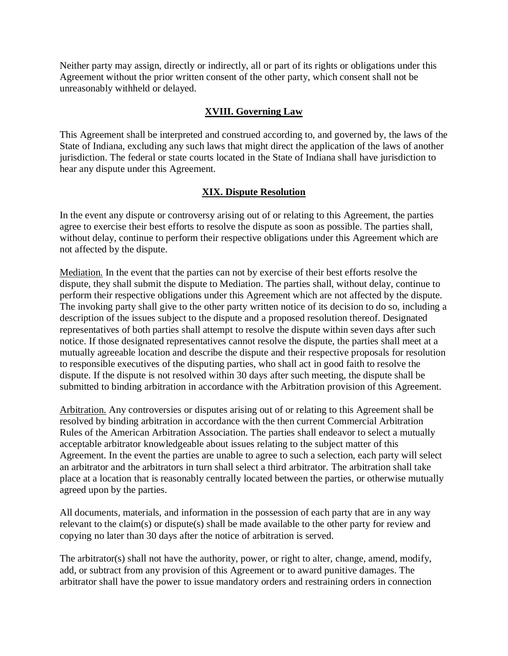Neither party may assign, directly or indirectly, all or part of its rights or obligations under this Agreement without the prior written consent of the other party, which consent shall not be unreasonably withheld or delayed.

#### **XVIII. Governing Law**

This Agreement shall be interpreted and construed according to, and governed by, the laws of the State of Indiana, excluding any such laws that might direct the application of the laws of another jurisdiction. The federal or state courts located in the State of Indiana shall have jurisdiction to hear any dispute under this Agreement.

#### **XIX. Dispute Resolution**

In the event any dispute or controversy arising out of or relating to this Agreement, the parties agree to exercise their best efforts to resolve the dispute as soon as possible. The parties shall, without delay, continue to perform their respective obligations under this Agreement which are not affected by the dispute.

Mediation. In the event that the parties can not by exercise of their best efforts resolve the dispute, they shall submit the dispute to Mediation. The parties shall, without delay, continue to perform their respective obligations under this Agreement which are not affected by the dispute. The invoking party shall give to the other party written notice of its decision to do so, including a description of the issues subject to the dispute and a proposed resolution thereof. Designated representatives of both parties shall attempt to resolve the dispute within seven days after such notice. If those designated representatives cannot resolve the dispute, the parties shall meet at a mutually agreeable location and describe the dispute and their respective proposals for resolution to responsible executives of the disputing parties, who shall act in good faith to resolve the dispute. If the dispute is not resolved within 30 days after such meeting, the dispute shall be submitted to binding arbitration in accordance with the Arbitration provision of this Agreement.

Arbitration. Any controversies or disputes arising out of or relating to this Agreement shall be resolved by binding arbitration in accordance with the then current Commercial Arbitration Rules of the American Arbitration Association. The parties shall endeavor to select a mutually acceptable arbitrator knowledgeable about issues relating to the subject matter of this Agreement. In the event the parties are unable to agree to such a selection, each party will select an arbitrator and the arbitrators in turn shall select a third arbitrator. The arbitration shall take place at a location that is reasonably centrally located between the parties, or otherwise mutually agreed upon by the parties.

All documents, materials, and information in the possession of each party that are in any way relevant to the claim(s) or dispute(s) shall be made available to the other party for review and copying no later than 30 days after the notice of arbitration is served.

The arbitrator(s) shall not have the authority, power, or right to alter, change, amend, modify, add, or subtract from any provision of this Agreement or to award punitive damages. The arbitrator shall have the power to issue mandatory orders and restraining orders in connection